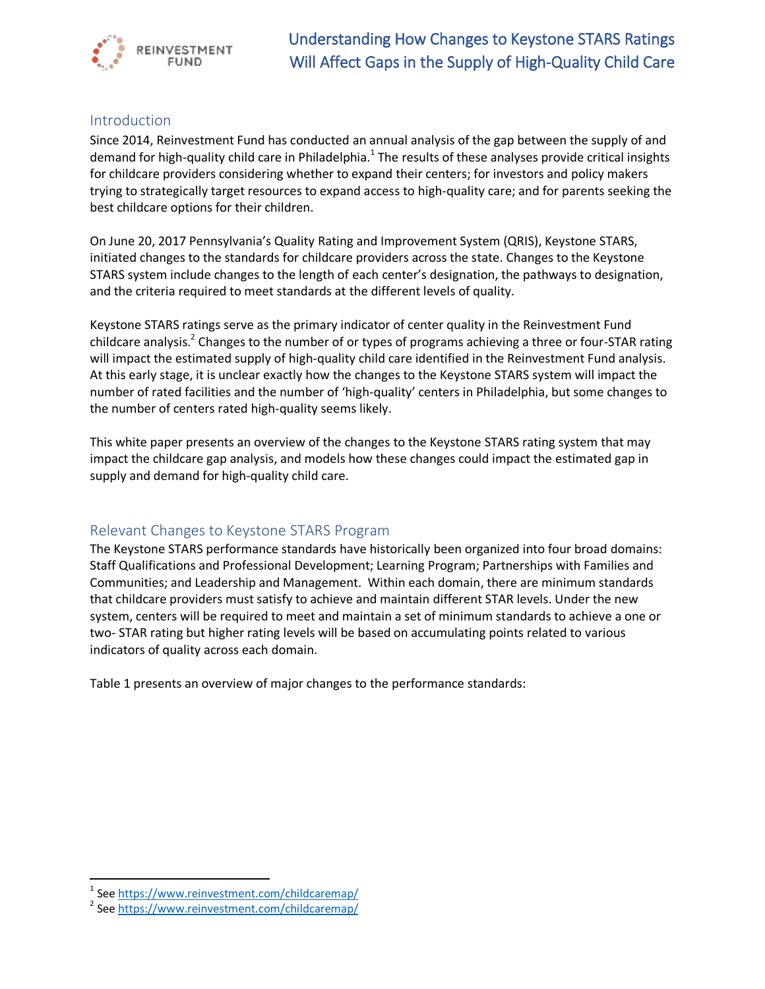

# Introduction

Since 2014, Reinvestment Fund has conducted an annual analysis of the gap between the supply of and demand for high-quality child care in Philadelphia.<sup>1</sup> The results of these analyses provide critical insights for childcare providers considering whether to expand their centers; for investors and policy makers trying to strategically target resources to expand access to high-quality care; and for parents seeking the best childcare options for their children.

On June 20, 2017 Pennsylvania's Quality Rating and Improvement System (QRIS), Keystone STARS, initiated changes to the standards for childcare providers across the state. Changes to the Keystone STARS system include changes to the length of each center's designation, the pathways to designation, and the criteria required to meet standards at the different levels of quality.

Keystone STARS ratings serve as the primary indicator of center quality in the Reinvestment Fund childcare analysis.<sup>2</sup> Changes to the number of or types of programs achieving a three or four-STAR rating will impact the estimated supply of high-quality child care identified in the Reinvestment Fund analysis. At this early stage, it is unclear exactly how the changes to the Keystone STARS system will impact the number of rated facilities and the number of 'high-quality' centers in Philadelphia, but some changes to the number of centers rated high-quality seems likely.

This white paper presents an overview of the changes to the Keystone STARS rating system that may impact the childcare gap analysis, and models how these changes could impact the estimated gap in supply and demand for high-quality child care.

# Relevant Changes to Keystone STARS Program

The Keystone STARS performance standards have historically been organized into four broad domains: Staff Qualifications and Professional Development; Learning Program; Partnerships with Families and Communities; and Leadership and Management. Within each domain, there are minimum standards that childcare providers must satisfy to achieve and maintain different STAR levels. Under the new system, centers will be required to meet and maintain a set of minimum standards to achieve a one or two- STAR rating but higher rating levels will be based on accumulating points related to various indicators of quality across each domain.

Table 1 presents an overview of major changes to the performance standards:

 $\overline{\phantom{a}}$ 

<sup>&</sup>lt;sup>1</sup> Se[e https://www.reinvestment.com/childcaremap/](https://www.reinvestment.com/childcaremap/)

<sup>&</sup>lt;sup>2</sup> Se[e https://www.reinvestment.com/childcaremap/](https://www.reinvestment.com/childcaremap/)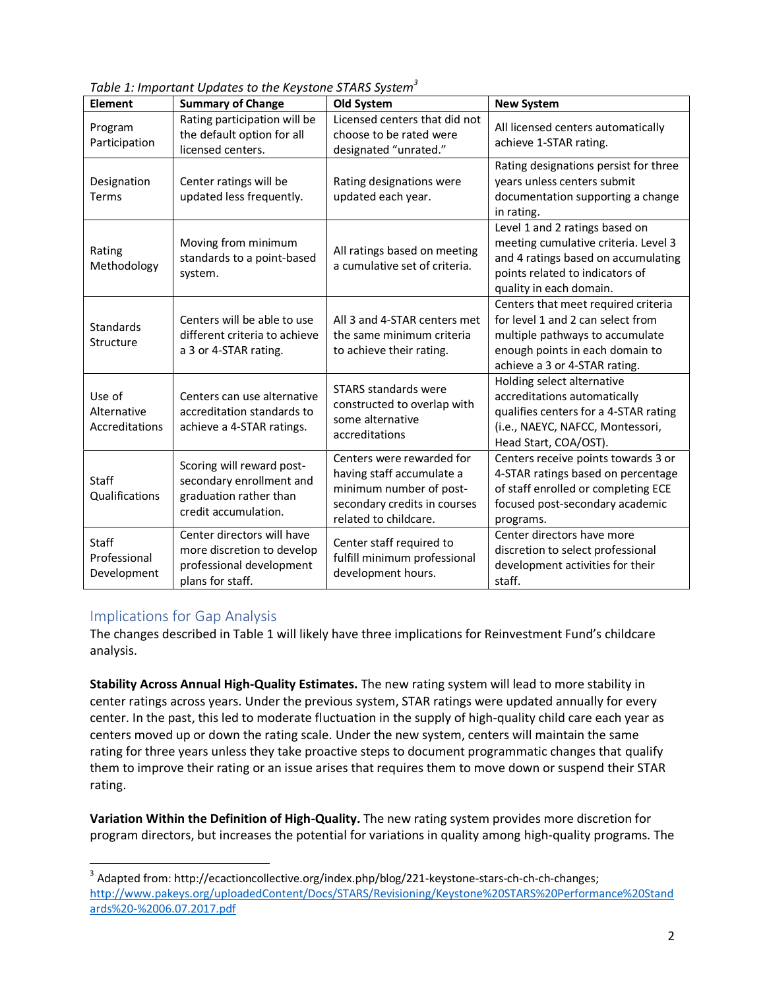|--|

| <b>Element</b>                          | <b>Summary of Change</b>                                                                                 | Old System                                                                                                                                 | <b>New System</b>                                                                                                                                                               |
|-----------------------------------------|----------------------------------------------------------------------------------------------------------|--------------------------------------------------------------------------------------------------------------------------------------------|---------------------------------------------------------------------------------------------------------------------------------------------------------------------------------|
| Program<br>Participation                | Rating participation will be<br>the default option for all<br>licensed centers.                          | Licensed centers that did not<br>choose to be rated were<br>designated "unrated."                                                          | All licensed centers automatically<br>achieve 1-STAR rating.                                                                                                                    |
| Designation<br>Terms                    | Center ratings will be<br>updated less frequently.                                                       | Rating designations were<br>updated each year.                                                                                             | Rating designations persist for three<br>years unless centers submit<br>documentation supporting a change<br>in rating.                                                         |
| Rating<br>Methodology                   | Moving from minimum<br>standards to a point-based<br>system.                                             | All ratings based on meeting<br>a cumulative set of criteria.                                                                              | Level 1 and 2 ratings based on<br>meeting cumulative criteria. Level 3<br>and 4 ratings based on accumulating<br>points related to indicators of<br>quality in each domain.     |
| <b>Standards</b><br>Structure           | Centers will be able to use<br>different criteria to achieve<br>a 3 or 4-STAR rating.                    | All 3 and 4-STAR centers met<br>the same minimum criteria<br>to achieve their rating.                                                      | Centers that meet required criteria<br>for level 1 and 2 can select from<br>multiple pathways to accumulate<br>enough points in each domain to<br>achieve a 3 or 4-STAR rating. |
| Use of<br>Alternative<br>Accreditations | Centers can use alternative<br>accreditation standards to<br>achieve a 4-STAR ratings.                   | <b>STARS standards were</b><br>constructed to overlap with<br>some alternative<br>accreditations                                           | Holding select alternative<br>accreditations automatically<br>qualifies centers for a 4-STAR rating<br>(i.e., NAEYC, NAFCC, Montessori,<br>Head Start, COA/OST).                |
| <b>Staff</b><br>Qualifications          | Scoring will reward post-<br>secondary enrollment and<br>graduation rather than<br>credit accumulation.  | Centers were rewarded for<br>having staff accumulate a<br>minimum number of post-<br>secondary credits in courses<br>related to childcare. | Centers receive points towards 3 or<br>4-STAR ratings based on percentage<br>of staff enrolled or completing ECE<br>focused post-secondary academic<br>programs.                |
| Staff<br>Professional<br>Development    | Center directors will have<br>more discretion to develop<br>professional development<br>plans for staff. | Center staff required to<br>fulfill minimum professional<br>development hours.                                                             | Center directors have more<br>discretion to select professional<br>development activities for their<br>staff.                                                                   |

# Implications for Gap Analysis

 $\overline{a}$ 

The changes described in Table 1 will likely have three implications for Reinvestment Fund's childcare analysis.

**Stability Across Annual High-Quality Estimates.** The new rating system will lead to more stability in center ratings across years. Under the previous system, STAR ratings were updated annually for every center. In the past, this led to moderate fluctuation in the supply of high-quality child care each year as centers moved up or down the rating scale. Under the new system, centers will maintain the same rating for three years unless they take proactive steps to document programmatic changes that qualify them to improve their rating or an issue arises that requires them to move down or suspend their STAR rating.

**Variation Within the Definition of High-Quality.** The new rating system provides more discretion for program directors, but increases the potential for variations in quality among high-quality programs. The

<sup>&</sup>lt;sup>3</sup> Adapted from: http://ecactioncollective.org/index.php/blog/221-keystone-stars-ch-ch-ch-changes; [http://www.pakeys.org/uploadedContent/Docs/STARS/Revisioning/Keystone%20STARS%20Performance%20Stand](http://www.pakeys.org/uploadedContent/Docs/STARS/Revisioning/Keystone%20STARS%20Performance%20Standards%20-%2006.07.2017.pdf) [ards%20-%2006.07.2017.pdf](http://www.pakeys.org/uploadedContent/Docs/STARS/Revisioning/Keystone%20STARS%20Performance%20Standards%20-%2006.07.2017.pdf)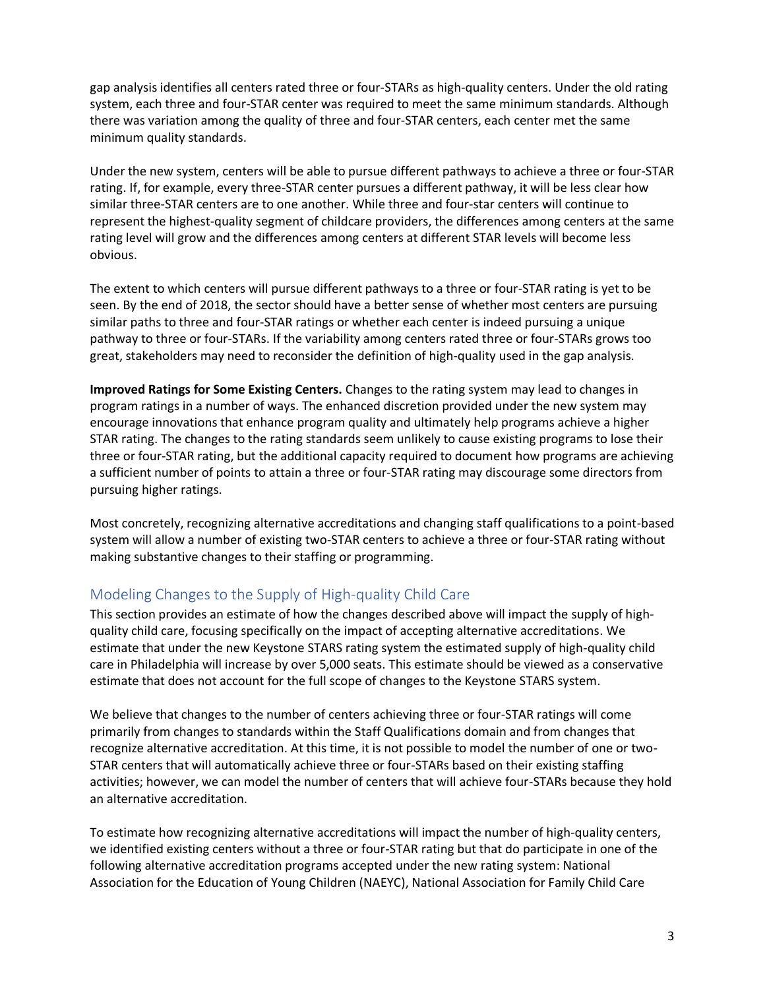gap analysis identifies all centers rated three or four-STARs as high-quality centers. Under the old rating system, each three and four-STAR center was required to meet the same minimum standards. Although there was variation among the quality of three and four-STAR centers, each center met the same minimum quality standards.

Under the new system, centers will be able to pursue different pathways to achieve a three or four-STAR rating. If, for example, every three-STAR center pursues a different pathway, it will be less clear how similar three-STAR centers are to one another. While three and four-star centers will continue to represent the highest-quality segment of childcare providers, the differences among centers at the same rating level will grow and the differences among centers at different STAR levels will become less obvious.

The extent to which centers will pursue different pathways to a three or four-STAR rating is yet to be seen. By the end of 2018, the sector should have a better sense of whether most centers are pursuing similar paths to three and four-STAR ratings or whether each center is indeed pursuing a unique pathway to three or four-STARs. If the variability among centers rated three or four-STARs grows too great, stakeholders may need to reconsider the definition of high-quality used in the gap analysis.

**Improved Ratings for Some Existing Centers.** Changes to the rating system may lead to changes in program ratings in a number of ways. The enhanced discretion provided under the new system may encourage innovations that enhance program quality and ultimately help programs achieve a higher STAR rating. The changes to the rating standards seem unlikely to cause existing programs to lose their three or four-STAR rating, but the additional capacity required to document how programs are achieving a sufficient number of points to attain a three or four-STAR rating may discourage some directors from pursuing higher ratings.

Most concretely, recognizing alternative accreditations and changing staff qualifications to a point-based system will allow a number of existing two-STAR centers to achieve a three or four-STAR rating without making substantive changes to their staffing or programming.

# Modeling Changes to the Supply of High-quality Child Care

This section provides an estimate of how the changes described above will impact the supply of highquality child care, focusing specifically on the impact of accepting alternative accreditations. We estimate that under the new Keystone STARS rating system the estimated supply of high-quality child care in Philadelphia will increase by over 5,000 seats. This estimate should be viewed as a conservative estimate that does not account for the full scope of changes to the Keystone STARS system.

We believe that changes to the number of centers achieving three or four-STAR ratings will come primarily from changes to standards within the Staff Qualifications domain and from changes that recognize alternative accreditation. At this time, it is not possible to model the number of one or two-STAR centers that will automatically achieve three or four-STARs based on their existing staffing activities; however, we can model the number of centers that will achieve four-STARs because they hold an alternative accreditation.

To estimate how recognizing alternative accreditations will impact the number of high-quality centers, we identified existing centers without a three or four-STAR rating but that do participate in one of the following alternative accreditation programs accepted under the new rating system: National Association for the Education of Young Children (NAEYC), National Association for Family Child Care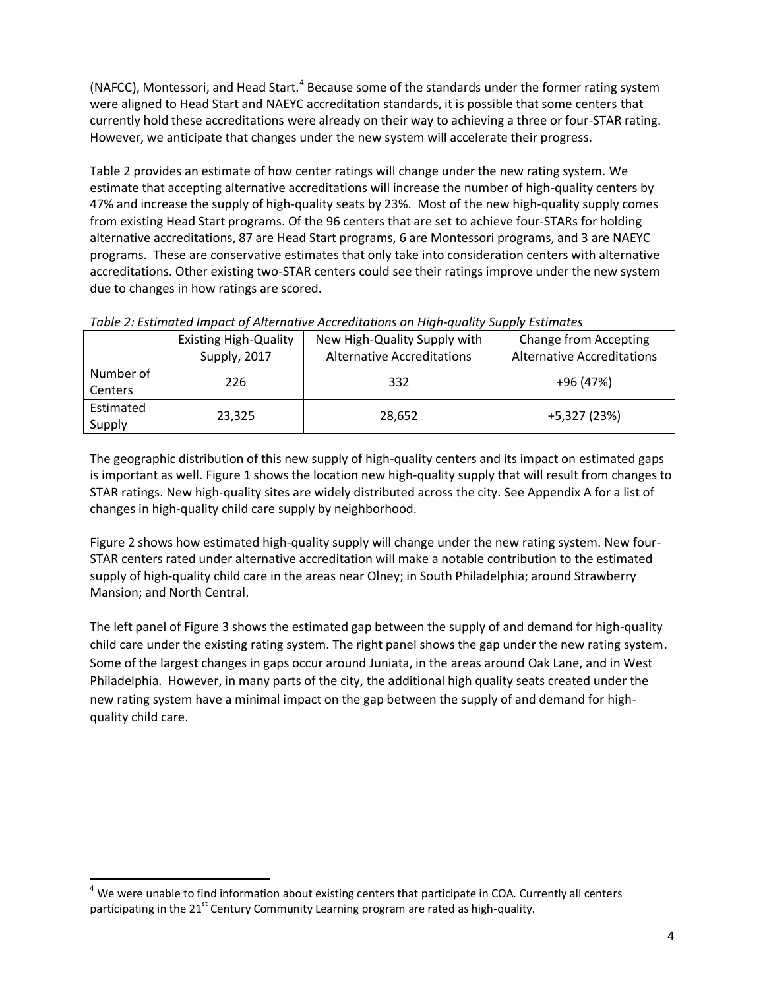(NAFCC), Montessori, and Head Start.<sup>4</sup> Because some of the standards under the former rating system were aligned to Head Start and NAEYC accreditation standards, it is possible that some centers that currently hold these accreditations were already on their way to achieving a three or four-STAR rating. However, we anticipate that changes under the new system will accelerate their progress.

Table 2 provides an estimate of how center ratings will change under the new rating system. We estimate that accepting alternative accreditations will increase the number of high-quality centers by 47% and increase the supply of high-quality seats by 23%. Most of the new high-quality supply comes from existing Head Start programs. Of the 96 centers that are set to achieve four-STARs for holding alternative accreditations, 87 are Head Start programs, 6 are Montessori programs, and 3 are NAEYC programs. These are conservative estimates that only take into consideration centers with alternative accreditations. Other existing two-STAR centers could see their ratings improve under the new system due to changes in how ratings are scored.

|                             | <b>Existing High-Quality</b> | New High-Quality Supply with      | <b>Change from Accepting</b>      |  |
|-----------------------------|------------------------------|-----------------------------------|-----------------------------------|--|
|                             | Supply, 2017                 | <b>Alternative Accreditations</b> | <b>Alternative Accreditations</b> |  |
| Number of<br><b>Centers</b> | 226                          | 332                               | +96 (47%)                         |  |
| Estimated<br>Supply         | 23,325                       | 28,652                            | +5,327 (23%)                      |  |

*Table 2: Estimated Impact of Alternative Accreditations on High-quality Supply Estimates*

The geographic distribution of this new supply of high-quality centers and its impact on estimated gaps is important as well. Figure 1 shows the location new high-quality supply that will result from changes to STAR ratings. New high-quality sites are widely distributed across the city. See Appendix A for a list of changes in high-quality child care supply by neighborhood.

Figure 2 shows how estimated high-quality supply will change under the new rating system. New four-STAR centers rated under alternative accreditation will make a notable contribution to the estimated supply of high-quality child care in the areas near Olney; in South Philadelphia; around Strawberry Mansion; and North Central.

The left panel of Figure 3 shows the estimated gap between the supply of and demand for high-quality child care under the existing rating system. The right panel shows the gap under the new rating system. Some of the largest changes in gaps occur around Juniata, in the areas around Oak Lane, and in West Philadelphia. However, in many parts of the city, the additional high quality seats created under the new rating system have a minimal impact on the gap between the supply of and demand for highquality child care.

 $\overline{\phantom{a}}$  $4$  We were unable to find information about existing centers that participate in COA. Currently all centers participating in the  $21<sup>st</sup>$  Century Community Learning program are rated as high-quality.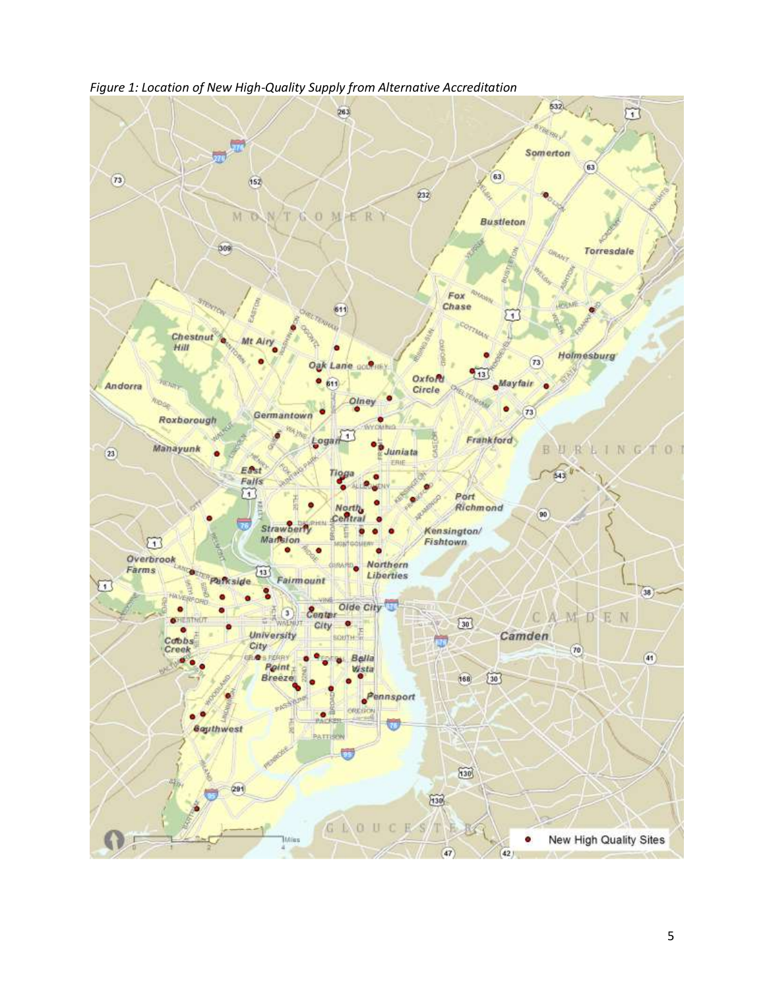

*Figure 1: Location of New High-Quality Supply from Alternative Accreditation*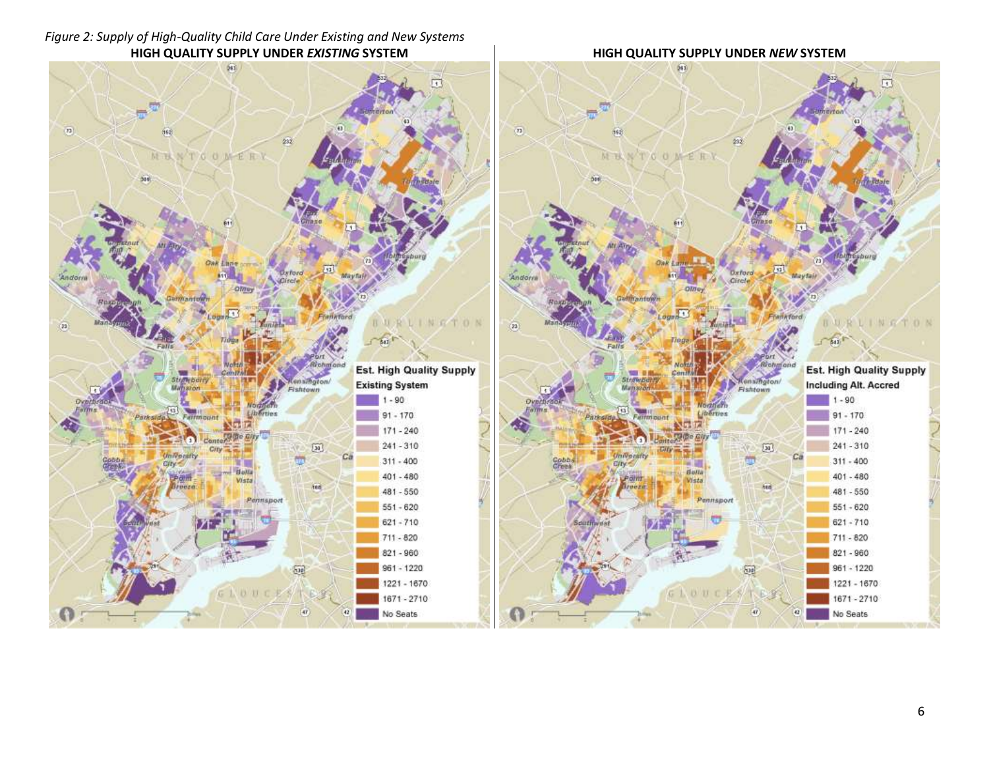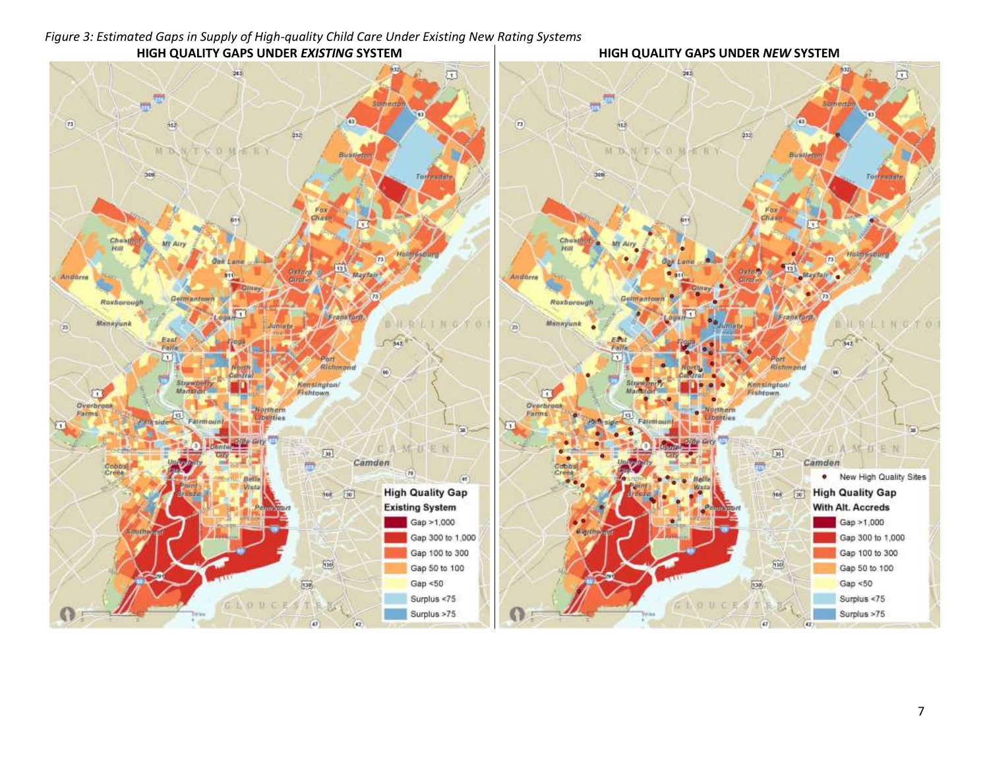#### **HIGH QUALITY GAPS UNDER** *EXISTING* **SYSTEM HIGH QUALITY GAPS UNDER** *NEW* **SYSTEM** $\overline{\omega}$  $\overline{\omega}$ 2021 2021  $\overline{\mathbf{u}}^{\mathbf{u}^{\mathbf{d}}}$  $\varpi^{\frac{1}{2} \theta}$ **CS**  $\overline{n}$  $\overline{\mathbf{m}}$  $552$  $\overrightarrow{152}$ 032 032 MONTSOMERY MONTEOMERY Bustle Biran **See** Sec. Torrimante Tottman Ches Chest Mr Atr Petty Petty Holmsson Hol  $\overline{12}$  $\overline{173}$  $13$ **Basic Basic** Mayfair Maytair. Andorra Andorra Germantown Germantowi Roxborough Roxborough  $\sqrt{2}$ Franktorn Frankfard, Manayunk BRAINGTO Manayunk BURLINGTO  $\langle n \rangle$  $\langle \overline{B} \rangle$ East<br>Fails  $\sqrt{342}$  $T$ 342 $^R$ EMI Falfa 61 61 Port Port Richmond Richmond  $\overline{90}$  $90)$ **Ster** Kensington/ Kensington/ **Allaciati**  $\omega$ Frantown  $\omega$ **APR** Fishtown. Overbrook Overbrook **Northern** Worthern Farms Farms Patricial Farmount  $\sqrt{12}$ Liberties Liberties **Fatem ount**  $\sqrt{2}$ m  $(a)$  $\overline{\mathbf{30}}$ m. Git <sup>11</sup> **Carlo** CAMDEN CAMDEN  $\sqrt{20}$  $\sqrt{20}$ ÿΠ Camden Camden in the control 带 Cobbs  $(n)$ . New High Quality Sites a) **High Quality Gap High Quality Gap**  $[30]$  $168.$  $\boxed{30}$  $168$ **Existing System** With Alt. Accreds Gap >1,000 Gap >1,000 Gugri Gap 300 to 1,000 Gap 300 to 1,000 Gap 100 to 300 Gap 100 to 300  $\widetilde{h\widetilde{u}\theta}$  $h30$ Gap 50 to 100 Gap 50 to 100 Gap  $< 50$  $\overline{\text{D3}}$ Gap  $< 50$  $138$ Surplus <75 Surplus < $75$ GEOUCES GEOUCEST Surplus >75 Surplus >75 G)  $42$  $47.$  $(42)$

# *Figure 3: Estimated Gaps in Supply of High-quality Child Care Under Existing New Rating Systems*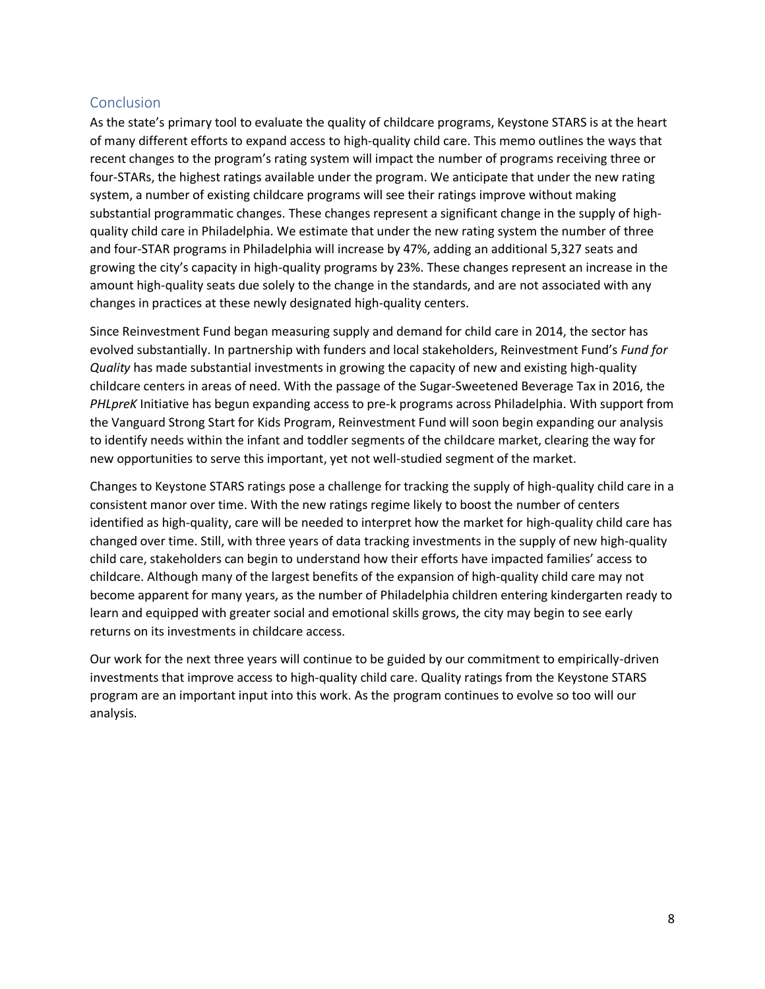# **Conclusion**

As the state's primary tool to evaluate the quality of childcare programs, Keystone STARS is at the heart of many different efforts to expand access to high-quality child care. This memo outlines the ways that recent changes to the program's rating system will impact the number of programs receiving three or four-STARs, the highest ratings available under the program. We anticipate that under the new rating system, a number of existing childcare programs will see their ratings improve without making substantial programmatic changes. These changes represent a significant change in the supply of highquality child care in Philadelphia. We estimate that under the new rating system the number of three and four-STAR programs in Philadelphia will increase by 47%, adding an additional 5,327 seats and growing the city's capacity in high-quality programs by 23%. These changes represent an increase in the amount high-quality seats due solely to the change in the standards, and are not associated with any changes in practices at these newly designated high-quality centers.

Since Reinvestment Fund began measuring supply and demand for child care in 2014, the sector has evolved substantially. In partnership with funders and local stakeholders, Reinvestment Fund's *Fund for Quality* has made substantial investments in growing the capacity of new and existing high-quality childcare centers in areas of need. With the passage of the Sugar-Sweetened Beverage Tax in 2016, the *PHLpreK* Initiative has begun expanding access to pre-k programs across Philadelphia. With support from the Vanguard Strong Start for Kids Program, Reinvestment Fund will soon begin expanding our analysis to identify needs within the infant and toddler segments of the childcare market, clearing the way for new opportunities to serve this important, yet not well-studied segment of the market.

Changes to Keystone STARS ratings pose a challenge for tracking the supply of high-quality child care in a consistent manor over time. With the new ratings regime likely to boost the number of centers identified as high-quality, care will be needed to interpret how the market for high-quality child care has changed over time. Still, with three years of data tracking investments in the supply of new high-quality child care, stakeholders can begin to understand how their efforts have impacted families' access to childcare. Although many of the largest benefits of the expansion of high-quality child care may not become apparent for many years, as the number of Philadelphia children entering kindergarten ready to learn and equipped with greater social and emotional skills grows, the city may begin to see early returns on its investments in childcare access.

Our work for the next three years will continue to be guided by our commitment to empirically-driven investments that improve access to high-quality child care. Quality ratings from the Keystone STARS program are an important input into this work. As the program continues to evolve so too will our analysis.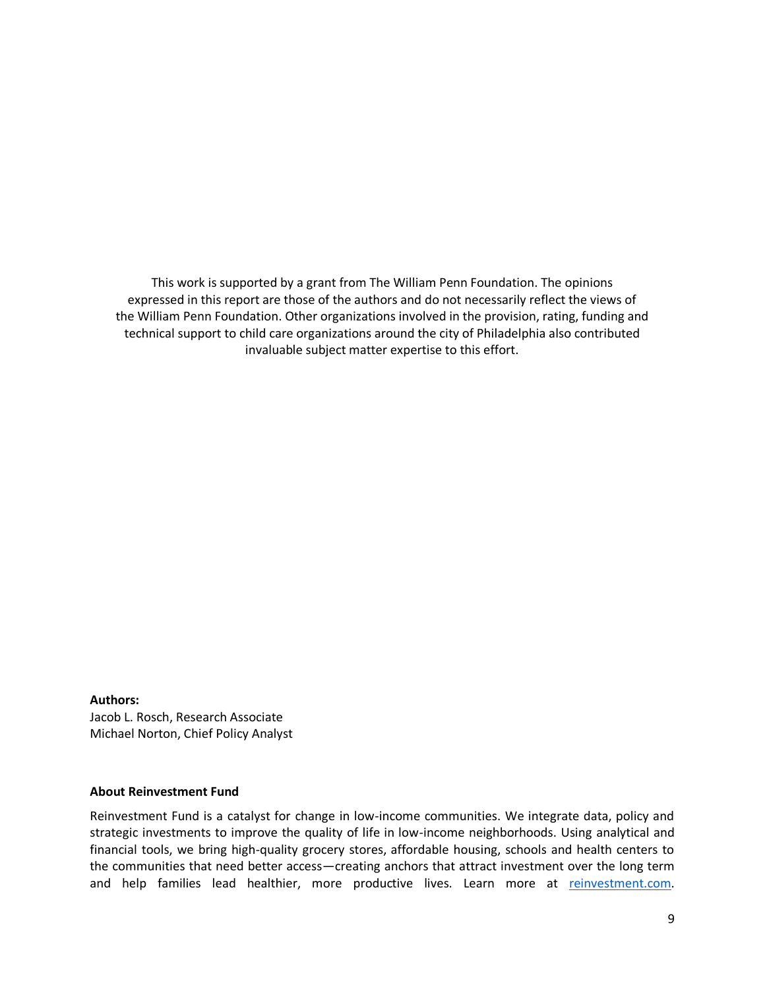This work is supported by a grant from The William Penn Foundation. The opinions expressed in this report are those of the authors and do not necessarily reflect the views of the William Penn Foundation. Other organizations involved in the provision, rating, funding and technical support to child care organizations around the city of Philadelphia also contributed invaluable subject matter expertise to this effort.

#### **Authors:**

Jacob L. Rosch, Research Associate Michael Norton, Chief Policy Analyst

### **About Reinvestment Fund**

Reinvestment Fund is a catalyst for change in low-income communities. We integrate data, policy and strategic investments to improve the quality of life in low-income neighborhoods. Using analytical and financial tools, we bring high-quality grocery stores, affordable housing, schools and health centers to the communities that need better access—creating anchors that attract investment over the long term and help families lead healthier, more productive lives. Learn more at [reinvestment.com.](http://www.reinvestment.com/)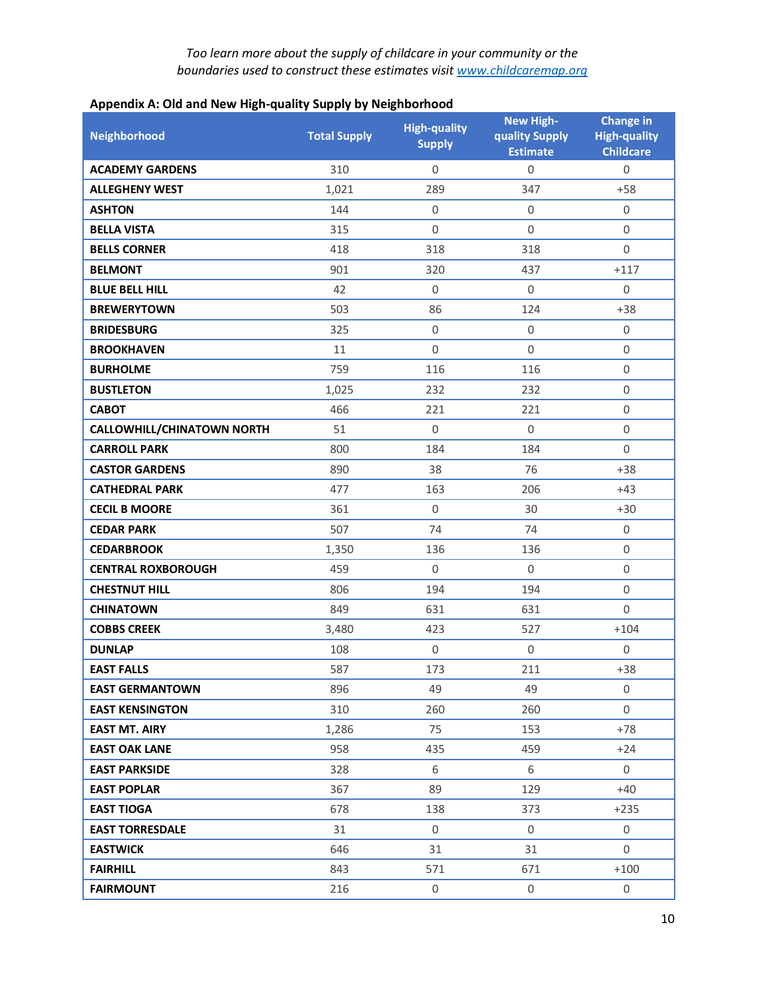| <b>1. 1.</b><br><b>Neighborhood</b> | <b>Total Supply</b> | $\bf\ddot{\phantom{1}}$<br><b>High-quality</b><br><b>Supply</b> | <b>New High-</b><br>quality Supply<br><b>Estimate</b> | <b>Change in</b><br><b>High-quality</b><br><b>Childcare</b> |
|-------------------------------------|---------------------|-----------------------------------------------------------------|-------------------------------------------------------|-------------------------------------------------------------|
| <b>ACADEMY GARDENS</b>              | 310                 | $\mathbf{0}$                                                    | $\mathbf 0$                                           | $\mathbf 0$                                                 |
| <b>ALLEGHENY WEST</b>               | 1,021               | 289                                                             | 347                                                   | $+58$                                                       |
| <b>ASHTON</b>                       | 144                 | $\boldsymbol{0}$                                                | $\boldsymbol{0}$                                      | $\boldsymbol{0}$                                            |
| <b>BELLA VISTA</b>                  | 315                 | $\mathbf 0$                                                     | $\mathbf 0$                                           | $\mathbf 0$                                                 |
| <b>BELLS CORNER</b>                 | 418                 | 318                                                             | 318                                                   | $\overline{0}$                                              |
| <b>BELMONT</b>                      | 901                 | 320                                                             | 437                                                   | $+117$                                                      |
| <b>BLUE BELL HILL</b>               | 42                  | $\boldsymbol{0}$                                                | $\mathbf 0$                                           | $\mathbf 0$                                                 |
| <b>BREWERYTOWN</b>                  | 503                 | 86                                                              | 124                                                   | $+38$                                                       |
| <b>BRIDESBURG</b>                   | 325                 | $\mathbf 0$                                                     | $\boldsymbol{0}$                                      | $\mathbf 0$                                                 |
| <b>BROOKHAVEN</b>                   | 11                  | $\boldsymbol{0}$                                                | $\mathbf 0$                                           | $\boldsymbol{0}$                                            |
| <b>BURHOLME</b>                     | 759                 | 116                                                             | 116                                                   | $\mathbf 0$                                                 |
| <b>BUSTLETON</b>                    | 1,025               | 232                                                             | 232                                                   | $\boldsymbol{0}$                                            |
| <b>CABOT</b>                        | 466                 | 221                                                             | 221                                                   | $\boldsymbol{0}$                                            |
| <b>CALLOWHILL/CHINATOWN NORTH</b>   | 51                  | $\Omega$                                                        | $\Omega$                                              | $\mathbf 0$                                                 |
| <b>CARROLL PARK</b>                 | 800                 | 184                                                             | 184                                                   | $\mathbf 0$                                                 |
| <b>CASTOR GARDENS</b>               | 890                 | 38                                                              | 76                                                    | $+38$                                                       |
| <b>CATHEDRAL PARK</b>               | 477                 | 163                                                             | 206                                                   | $+43$                                                       |
| <b>CECIL B MOORE</b>                | 361                 | $\mathbf 0$                                                     | 30                                                    | $+30$                                                       |
| <b>CEDAR PARK</b>                   | 507                 | 74                                                              | 74                                                    | $\mathbf 0$                                                 |
| <b>CEDARBROOK</b>                   | 1,350               | 136                                                             | 136                                                   | $\mathbf 0$                                                 |
| <b>CENTRAL ROXBOROUGH</b>           | 459                 | $\mathbf 0$                                                     | $\mathbf 0$                                           | $\boldsymbol{0}$                                            |
| <b>CHESTNUT HILL</b>                | 806                 | 194                                                             | 194                                                   | $\boldsymbol{0}$                                            |
| <b>CHINATOWN</b>                    | 849                 | 631                                                             | 631                                                   | $\overline{0}$                                              |
| <b>COBBS CREEK</b>                  | 3,480               | 423                                                             | 527                                                   | $+104$                                                      |
| <b>DUNLAP</b>                       | 108                 | $\boldsymbol{0}$                                                | $\boldsymbol{0}$                                      | $\boldsymbol{0}$                                            |
| <b>EAST FALLS</b>                   | 587                 | 173                                                             | 211                                                   | $+38$                                                       |
| <b>EAST GERMANTOWN</b>              | 896                 | 49                                                              | 49                                                    | 0                                                           |
| <b>EAST KENSINGTON</b>              | 310                 | 260                                                             | 260                                                   | $\overline{0}$                                              |
| <b>EAST MT. AIRY</b>                | 1,286               | 75                                                              | 153                                                   | $+78$                                                       |
| <b>EAST OAK LANE</b>                | 958                 | 435                                                             | 459                                                   | $+24$                                                       |
| <b>EAST PARKSIDE</b>                | 328                 | 6                                                               | 6                                                     | $\overline{0}$                                              |
| <b>EAST POPLAR</b>                  | 367                 | 89                                                              | 129                                                   | $+40$                                                       |
| <b>EAST TIOGA</b>                   | 678                 | 138                                                             | 373                                                   | $+235$                                                      |
| <b>EAST TORRESDALE</b>              | 31                  | 0                                                               | $\mathbf 0$                                           | 0                                                           |
| <b>EASTWICK</b>                     | 646                 | 31                                                              | 31                                                    | $\mathbf 0$                                                 |
| <b>FAIRHILL</b>                     | 843                 | 571                                                             | 671                                                   | $+100$                                                      |
| <b>FAIRMOUNT</b>                    | 216                 | $\boldsymbol{0}$                                                | $\boldsymbol{0}$                                      | $\mathbf 0$                                                 |

# **Appendix A: Old and New High-quality Supply by Neighborhood**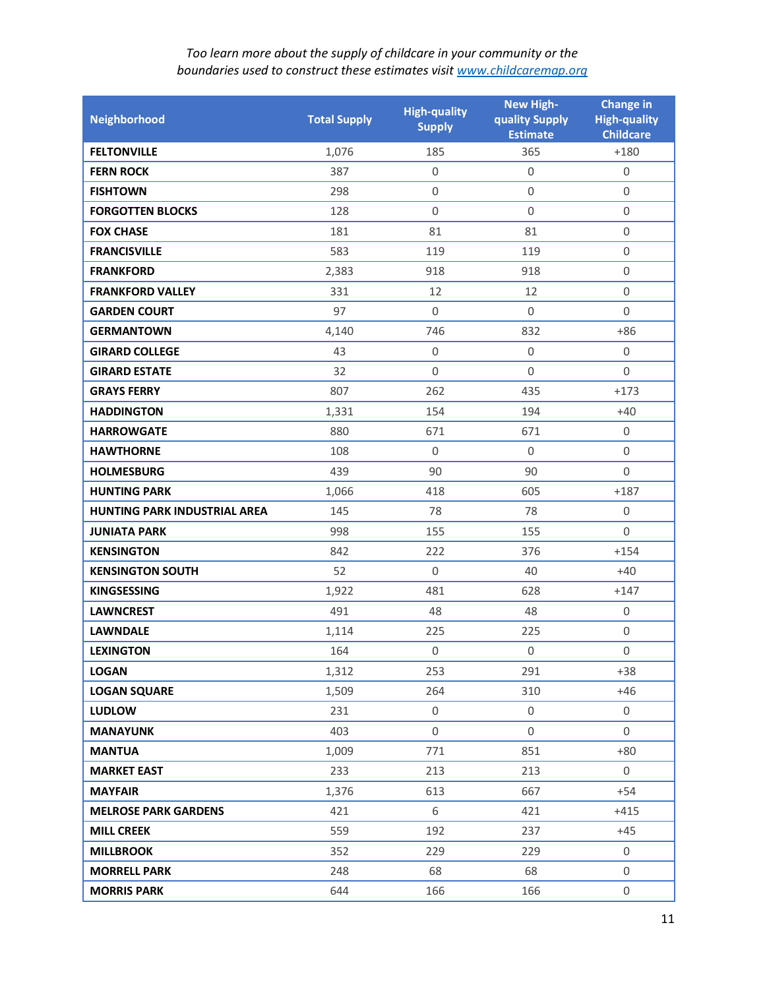| Neighborhood                 | <b>Total Supply</b> | <b>High-quality</b><br><b>Supply</b> | <b>New High-</b><br>quality Supply<br><b>Estimate</b> | <b>Change in</b><br><b>High-quality</b><br><b>Childcare</b> |
|------------------------------|---------------------|--------------------------------------|-------------------------------------------------------|-------------------------------------------------------------|
| <b>FELTONVILLE</b>           | 1,076               | 185                                  | 365                                                   | $+180$                                                      |
| <b>FERN ROCK</b>             | 387                 | $\boldsymbol{0}$                     | $\boldsymbol{0}$                                      | $\boldsymbol{0}$                                            |
| <b>FISHTOWN</b>              | 298                 | $\boldsymbol{0}$                     | $\mathbf 0$                                           | $\overline{0}$                                              |
| <b>FORGOTTEN BLOCKS</b>      | 128                 | $\boldsymbol{0}$                     | $\mathbf 0$                                           | $\boldsymbol{0}$                                            |
| <b>FOX CHASE</b>             | 181                 | 81                                   | 81                                                    | $\boldsymbol{0}$                                            |
| <b>FRANCISVILLE</b>          | 583                 | 119                                  | 119                                                   | $\mathbf 0$                                                 |
| <b>FRANKFORD</b>             | 2,383               | 918                                  | 918                                                   | $\boldsymbol{0}$                                            |
| <b>FRANKFORD VALLEY</b>      | 331                 | 12                                   | 12                                                    | $\boldsymbol{0}$                                            |
| <b>GARDEN COURT</b>          | 97                  | $\boldsymbol{0}$                     | $\Omega$                                              | $\overline{0}$                                              |
| <b>GERMANTOWN</b>            | 4,140               | 746                                  | 832                                                   | $+86$                                                       |
| <b>GIRARD COLLEGE</b>        | 43                  | $\boldsymbol{0}$                     | $\mathbf 0$                                           | $\mathbf 0$                                                 |
| <b>GIRARD ESTATE</b>         | 32                  | $\boldsymbol{0}$                     | $\Omega$                                              | $\overline{0}$                                              |
| <b>GRAYS FERRY</b>           | 807                 | 262                                  | 435                                                   | $+173$                                                      |
| <b>HADDINGTON</b>            | 1,331               | 154                                  | 194                                                   | $+40$                                                       |
| <b>HARROWGATE</b>            | 880                 | 671                                  | 671                                                   | $\mathbf 0$                                                 |
| <b>HAWTHORNE</b>             | 108                 | $\boldsymbol{0}$                     | $\mathbf 0$                                           | $\boldsymbol{0}$                                            |
| <b>HOLMESBURG</b>            | 439                 | 90                                   | 90                                                    | $\mathbf 0$                                                 |
| <b>HUNTING PARK</b>          | 1,066               | 418                                  | 605                                                   | $+187$                                                      |
| HUNTING PARK INDUSTRIAL AREA | 145                 | 78                                   | 78                                                    | $\mathbf 0$                                                 |
| <b>JUNIATA PARK</b>          | 998                 | 155                                  | 155                                                   | $\Omega$                                                    |
| <b>KENSINGTON</b>            | 842                 | 222                                  | 376                                                   | $+154$                                                      |
| <b>KENSINGTON SOUTH</b>      | 52                  | $\boldsymbol{0}$                     | 40                                                    | $+40$                                                       |
| <b>KINGSESSING</b>           | 1,922               | 481                                  | 628                                                   | $+147$                                                      |
| <b>LAWNCREST</b>             | 491                 | 48                                   | 48                                                    | $\mathbf 0$                                                 |
| <b>LAWNDALE</b>              | 1,114               | 225                                  | 225                                                   | $\boldsymbol{0}$                                            |
| <b>LEXINGTON</b>             | 164                 | $\boldsymbol{0}$                     | $\mathbf 0$                                           | $\boldsymbol{0}$                                            |
| <b>LOGAN</b>                 | 1,312               | 253                                  | 291                                                   | $+38$                                                       |
| <b>LOGAN SQUARE</b>          | 1,509               | 264                                  | 310                                                   | $+46$                                                       |
| <b>LUDLOW</b>                | 231                 | 0                                    | 0                                                     | $\mathbf 0$                                                 |
| <b>MANAYUNK</b>              | 403                 | $\mathbf{0}$                         | $\Omega$                                              | $\Omega$                                                    |
| <b>MANTUA</b>                | 1,009               | 771                                  | 851                                                   | $+80$                                                       |
| <b>MARKET EAST</b>           | 233                 | 213                                  | 213                                                   | $\mathbf 0$                                                 |
| <b>MAYFAIR</b>               | 1,376               | 613                                  | 667                                                   | $+54$                                                       |
| <b>MELROSE PARK GARDENS</b>  | 421                 | 6                                    | 421                                                   | $+415$                                                      |
| <b>MILL CREEK</b>            | 559                 | 192                                  | 237                                                   | $+45$                                                       |
| <b>MILLBROOK</b>             | 352                 | 229                                  | 229                                                   | $\mathbf{0}$                                                |
| <b>MORRELL PARK</b>          | 248                 | 68                                   | 68                                                    | $\mathbf 0$                                                 |
| <b>MORRIS PARK</b>           | 644                 | 166                                  | 166                                                   | 0                                                           |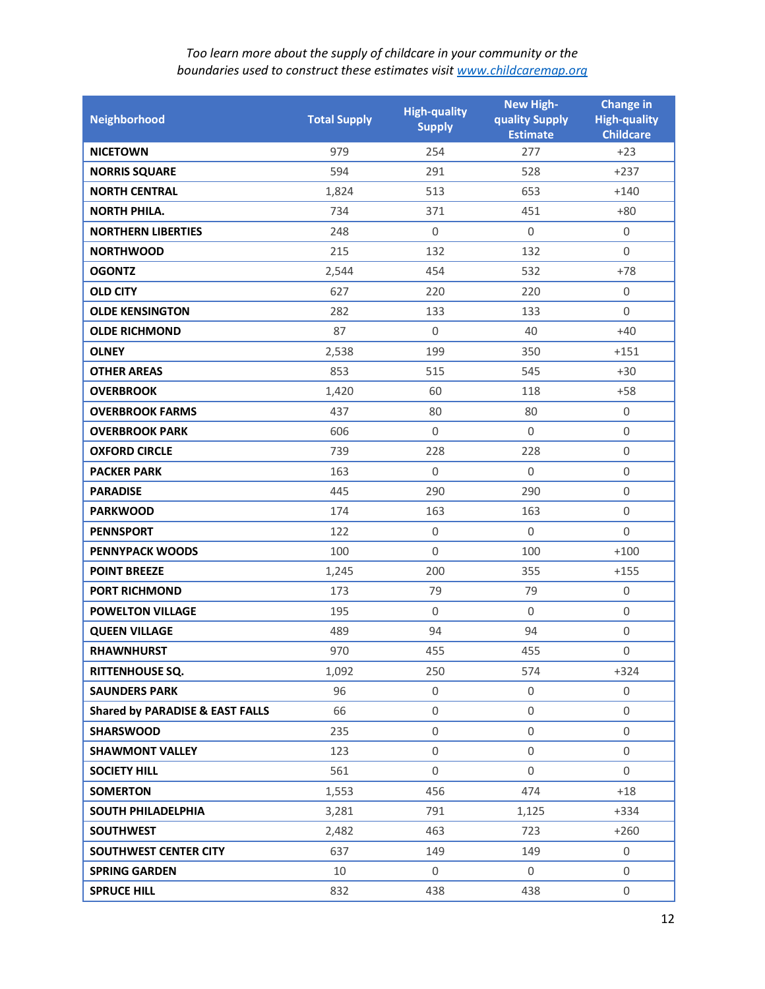| Neighborhood                               | <b>Total Supply</b> | <b>High-quality</b><br><b>Supply</b> | <b>New High-</b><br>quality Supply<br><b>Estimate</b> | <b>Change in</b><br><b>High-quality</b><br><b>Childcare</b> |
|--------------------------------------------|---------------------|--------------------------------------|-------------------------------------------------------|-------------------------------------------------------------|
| <b>NICETOWN</b>                            | 979                 | 254                                  | 277                                                   | $+23$                                                       |
| <b>NORRIS SQUARE</b>                       | 594                 | 291                                  | 528                                                   | $+237$                                                      |
| <b>NORTH CENTRAL</b>                       | 1,824               | 513                                  | 653                                                   | $+140$                                                      |
| <b>NORTH PHILA.</b>                        | 734                 | 371                                  | 451                                                   | $+80$                                                       |
| <b>NORTHERN LIBERTIES</b>                  | 248                 | $\boldsymbol{0}$                     | $\mathbf 0$                                           | $\mathbf 0$                                                 |
| <b>NORTHWOOD</b>                           | 215                 | 132                                  | 132                                                   | $\Omega$                                                    |
| <b>OGONTZ</b>                              | 2,544               | 454                                  | 532                                                   | $+78$                                                       |
| <b>OLD CITY</b>                            | 627                 | 220                                  | 220                                                   | $\mathbf 0$                                                 |
| <b>OLDE KENSINGTON</b>                     | 282                 | 133                                  | 133                                                   | $\Omega$                                                    |
| <b>OLDE RICHMOND</b>                       | 87                  | $\mathbf{0}$                         | 40                                                    | $+40$                                                       |
| <b>OLNEY</b>                               | 2,538               | 199                                  | 350                                                   | $+151$                                                      |
| <b>OTHER AREAS</b>                         | 853                 | 515                                  | 545                                                   | $+30$                                                       |
| <b>OVERBROOK</b>                           | 1,420               | 60                                   | 118                                                   | $+58$                                                       |
| <b>OVERBROOK FARMS</b>                     | 437                 | 80                                   | 80                                                    | $\mathbf 0$                                                 |
| <b>OVERBROOK PARK</b>                      | 606                 | $\Omega$                             | $\Omega$                                              | $\mathbf 0$                                                 |
| <b>OXFORD CIRCLE</b>                       | 739                 | 228                                  | 228                                                   | $\boldsymbol{0}$                                            |
| <b>PACKER PARK</b>                         | 163                 | $\boldsymbol{0}$                     | $\mathbf 0$                                           | $\boldsymbol{0}$                                            |
| <b>PARADISE</b>                            | 445                 | 290                                  | 290                                                   | $\mathbf 0$                                                 |
| <b>PARKWOOD</b>                            | 174                 | 163                                  | 163                                                   | $\boldsymbol{0}$                                            |
| <b>PENNSPORT</b>                           | 122                 | $\boldsymbol{0}$                     | $\mathbf 0$                                           | $\mathbf 0$                                                 |
| <b>PENNYPACK WOODS</b>                     | 100                 | $\Omega$                             | 100                                                   | $+100$                                                      |
| <b>POINT BREEZE</b>                        | 1,245               | 200                                  | 355                                                   | $+155$                                                      |
| <b>PORT RICHMOND</b>                       | 173                 | 79                                   | 79                                                    | $\boldsymbol{0}$                                            |
| <b>POWELTON VILLAGE</b>                    | 195                 | $\boldsymbol{0}$                     | $\Omega$                                              | $\mathbf 0$                                                 |
| <b>QUEEN VILLAGE</b>                       | 489                 | 94                                   | 94                                                    | $\boldsymbol{0}$                                            |
| <b>RHAWNHURST</b>                          | 970                 | 455                                  | 455                                                   | 0                                                           |
| RITTENHOUSE SQ.                            | 1,092               | 250                                  | 574                                                   | $+324$                                                      |
| <b>SAUNDERS PARK</b>                       | 96                  | 0                                    | 0                                                     | $\mathbf 0$                                                 |
| <b>Shared by PARADISE &amp; EAST FALLS</b> | 66                  | $\boldsymbol{0}$                     | $\boldsymbol{0}$                                      | $\mathsf{O}\xspace$                                         |
| <b>SHARSWOOD</b>                           | 235                 | $\mathbf{0}$                         | $\overline{0}$                                        | $\mathbf 0$                                                 |
| <b>SHAWMONT VALLEY</b>                     | 123                 | 0                                    | $\boldsymbol{0}$                                      | $\mathbf 0$                                                 |
| <b>SOCIETY HILL</b>                        | 561                 | $\boldsymbol{0}$                     | $\mathbf 0$                                           | $\mathbf 0$                                                 |
| <b>SOMERTON</b>                            | 1,553               | 456                                  | 474                                                   | $+18$                                                       |
| <b>SOUTH PHILADELPHIA</b>                  | 3,281               | 791                                  | 1,125                                                 | $+334$                                                      |
| <b>SOUTHWEST</b>                           | 2,482               | 463                                  | 723                                                   | $+260$                                                      |
| SOUTHWEST CENTER CITY                      | 637                 | 149                                  | 149                                                   | $\mathbf 0$                                                 |
| <b>SPRING GARDEN</b>                       | 10                  | 0                                    | 0                                                     | $\mathbf 0$                                                 |
| <b>SPRUCE HILL</b>                         | 832                 | 438                                  | 438                                                   | $\boldsymbol{0}$                                            |